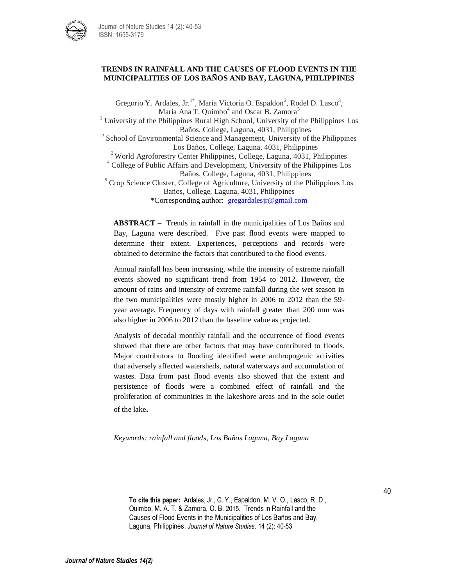

### **TRENDS IN RAINFALL AND THE CAUSES OF FLOOD EVENTS IN THE MUNICIPALITIES OF LOS BAÑOS AND BAY, LAGUNA, PHILIPPINES**

Gregorio Y. Ardales, Jr.<sup>1\*</sup>, Maria Victoria O. Espaldon<sup>2</sup>, Rodel D. Lasco<sup>3</sup>, Maria Ana T. Quimbo<sup>4</sup> and Oscar B. Zamora<sup>5</sup>  $1$  University of the Philippines Rural High School, University of the Philippines Los Baños, College, Laguna, 4031, Philippines <sup>2</sup> School of Environmental Science and Management, University of the Philippines Los Baños, College, Laguna, 4031, Philippines <sup>3</sup> World Agroforestry Center Philippines, College, Laguna, 4031, Philippines <sup>4</sup> College of Public Affairs and Development, University of the Philippines Los Baños, College, Laguna, 4031, Philippines  $<sup>5</sup>$  Crop Science Cluster, College of Agriculture, University of the Philippines Los</sup> Baños, College, Laguna, 4031, Philippines \*Corresponding author: [gregardalesjr@gmail.com](mailto:gregardalesjr@gmail.com)

**ABSTRACT –** Trends in rainfall in the municipalities of Los Baños and Bay, Laguna were described. Five past flood events were mapped to determine their extent. Experiences, perceptions and records were obtained to determine the factors that contributed to the flood events.

Annual rainfall has been increasing, while the intensity of extreme rainfall events showed no significant trend from 1954 to 2012. However, the amount of rains and intensity of extreme rainfall during the wet season in the two municipalities were mostly higher in 2006 to 2012 than the 59 year average. Frequency of days with rainfall greater than 200 mm was also higher in 2006 to 2012 than the baseline value as projected.

Analysis of decadal monthly rainfall and the occurrence of flood events showed that there are other factors that may have contributed to floods. Major contributors to flooding identified were anthropogenic activities that adversely affected watersheds, natural waterways and accumulation of wastes. Data from past flood events also showed that the extent and persistence of floods were a combined effect of rainfall and the proliferation of communities in the lakeshore areas and in the sole outlet of the lake.

### *Keywords: rainfall and floods, Los Baños Laguna, Bay Laguna*

**To cite this paper:** Ardales, Jr., G. Y., Espaldon, M. V. O., Lasco, R. D., Quimbo, M. A. T. & Zamora, O. B. 2015. Trends in Rainfall and the Causes of Flood Events in the Municipalities of Los Baños and Bay, Laguna, Philippines. *Journal of Nature Studies*. 14 (2): 40-53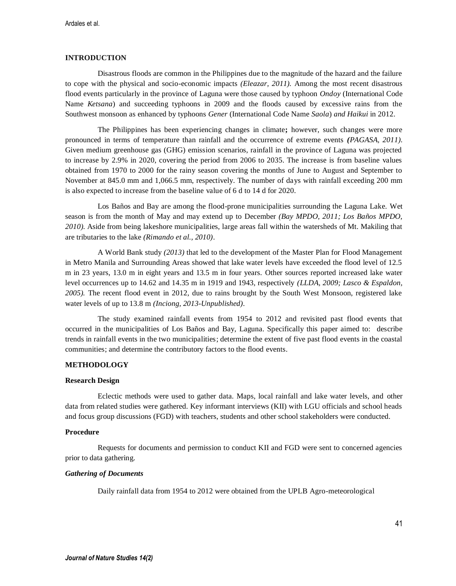# **INTRODUCTION**

Disastrous floods are common in the Philippines due to the magnitude of the hazard and the failure to cope with the physical and socio-economic impacts *(Eleazar, 2011).* Among the most recent disastrous flood events particularly in the province of Laguna were those caused by typhoon *Ondoy* (International Code Name *Ketsana*) and succeeding typhoons in 2009 and the floods caused by excessive rains from the Southwest monsoon as enhanced by typhoons *Gener* (International Code Name *Saola*) *and Haikui* in 2012.

The Philippines has been experiencing changes in climate**;** however, such changes were more pronounced in terms of temperature than rainfall and the occurrence of extreme events *(PAGASA, 2011).*  Given medium greenhouse gas (GHG) emission scenarios, rainfall in the province of Laguna was projected to increase by 2.9% in 2020, covering the period from 2006 to 2035. The increase is from baseline values obtained from 1970 to 2000 for the rainy season covering the months of June to August and September to November at 845.0 mm and 1,066.5 mm, respectively. The number of days with rainfall exceeding 200 mm is also expected to increase from the baseline value of 6 d to 14 d for 2020.

Los Baños and Bay are among the flood-prone municipalities surrounding the Laguna Lake. Wet season is from the month of May and may extend up to December *(Bay MPDO, 2011; Los Baños MPDO, 2010)*. Aside from being lakeshore municipalities, large areas fall within the watersheds of Mt. Makiling that are tributaries to the lake *(Rimando et al., 2010)*.

A World Bank study *(2013)* that led to the development of the Master Plan for Flood Management in Metro Manila and Surrounding Areas showed that lake water levels have exceeded the flood level of 12.5 m in 23 years, 13.0 m in eight years and 13.5 m in four years. Other sources reported increased lake water level occurrences up to 14.62 and 14.35 m in 1919 and 1943, respectively *(LLDA, 2009; Lasco & Espaldon, 2005).* The recent flood event in 2012, due to rains brought by the South West Monsoon, registered lake water levels of up to 13.8 m *(Inciong, 2013-Unpublished)*.

The study examined rainfall events from 1954 to 2012 and revisited past flood events that occurred in the municipalities of Los Baños and Bay, Laguna. Specifically this paper aimed to: describe trends in rainfall events in the two municipalities; determine the extent of five past flood events in the coastal communities; and determine the contributory factors to the flood events.

# **METHODOLOGY**

#### **Research Design**

Eclectic methods were used to gather data. Maps, local rainfall and lake water levels, and other data from related studies were gathered. Key informant interviews (KII) with LGU officials and school heads and focus group discussions (FGD) with teachers, students and other school stakeholders were conducted.

### **Procedure**

Requests for documents and permission to conduct KII and FGD were sent to concerned agencies prior to data gathering.

#### *Gathering of Documents*

Daily rainfall data from 1954 to 2012 were obtained from the UPLB Agro-meteorological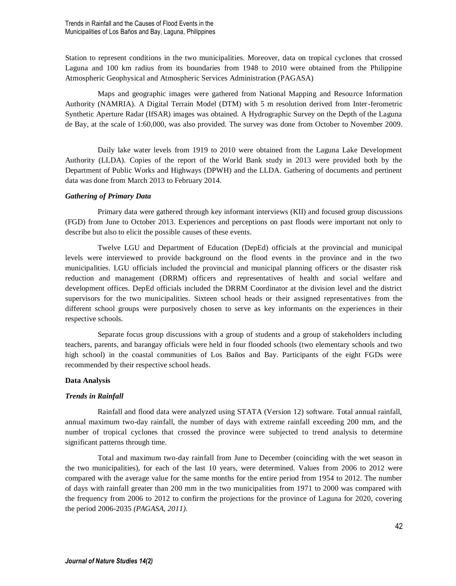Trends in Rainfall and the Causes of Flood Events in the Municipalities of Los Baños and Bay, Laguna, Philippines

Station to represent conditions in the two municipalities. Moreover, data on tropical cyclones that crossed Laguna and 100 km radius from its boundaries from 1948 to 2010 were obtained from the Philippine Atmospheric Geophysical and Atmospheric Services Administration (PAGASA)

Maps and geographic images were gathered from National Mapping and Resource Information Authority (NAMRIA). A Digital Terrain Model (DTM) with 5 m resolution derived from Inter-ferometric Synthetic Aperture Radar (IfSAR) images was obtained. A Hydrographic Survey on the Depth of the Laguna de Bay, at the scale of 1:60,000, was also provided. The survey was done from October to November 2009.

Daily lake water levels from 1919 to 2010 were obtained from the Laguna Lake Development Authority (LLDA). Copies of the report of the World Bank study in 2013 were provided both by the Department of Public Works and Highways (DPWH) and the LLDA. Gathering of documents and pertinent data was done from March 2013 to February 2014.

### *Gathering of Primary Data*

Primary data were gathered through key informant interviews (KII) and focused group discussions (FGD) from June to October 2013. Experiences and perceptions on past floods were important not only to describe but also to elicit the possible causes of these events.

Twelve LGU and Department of Education (DepEd) officials at the provincial and municipal levels were interviewed to provide background on the flood events in the province and in the two municipalities. LGU officials included the provincial and municipal planning officers or the disaster risk reduction and management (DRRM) officers and representatives of health and social welfare and development offices. DepEd officials included the DRRM Coordinator at the division level and the district supervisors for the two municipalities. Sixteen school heads or their assigned representatives from the different school groups were purposively chosen to serve as key informants on the experiences in their respective schools.

Separate focus group discussions with a group of students and a group of stakeholders including teachers, parents, and barangay officials were held in four flooded schools (two elementary schools and two high school) in the coastal communities of Los Baños and Bay. Participants of the eight FGDs were recommended by their respective school heads.

#### **Data Analysis**

#### *Trends in Rainfall*

Rainfall and flood data were analyzed using STATA (Version 12) software. Total annual rainfall, annual maximum two-day rainfall, the number of days with extreme rainfall exceeding 200 mm, and the number of tropical cyclones that crossed the province were subjected to trend analysis to determine significant patterns through time.

Total and maximum two-day rainfall from June to December (coinciding with the wet season in the two municipalities), for each of the last 10 years, were determined. Values from 2006 to 2012 were compared with the average value for the same months for the entire period from 1954 to 2012. The number of days with rainfall greater than 200 mm in the two municipalities from 1971 to 2000 was compared with the frequency from 2006 to 2012 to confirm the projections for the province of Laguna for 2020, covering the period 2006-2035 *(PAGASA, 2011).*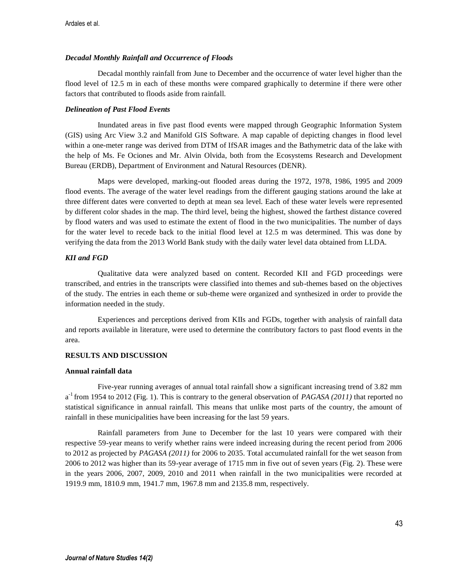### *Decadal Monthly Rainfall and Occurrence of Floods*

Decadal monthly rainfall from June to December and the occurrence of water level higher than the flood level of 12.5 m in each of these months were compared graphically to determine if there were other factors that contributed to floods aside from rainfall.

### *Delineation of Past Flood Events*

Inundated areas in five past flood events were mapped through Geographic Information System (GIS) using Arc View 3.2 and Manifold GIS Software. A map capable of depicting changes in flood level within a one-meter range was derived from DTM of IfSAR images and the Bathymetric data of the lake with the help of Ms. Fe Ociones and Mr. Alvin Olvida, both from the Ecosystems Research and Development Bureau (ERDB), Department of Environment and Natural Resources (DENR).

Maps were developed, marking-out flooded areas during the 1972, 1978, 1986, 1995 and 2009 flood events. The average of the water level readings from the different gauging stations around the lake at three different dates were converted to depth at mean sea level. Each of these water levels were represented by different color shades in the map. The third level, being the highest, showed the farthest distance covered by flood waters and was used to estimate the extent of flood in the two municipalities. The number of days for the water level to recede back to the initial flood level at 12.5 m was determined. This was done by verifying the data from the 2013 World Bank study with the daily water level data obtained from LLDA.

### *KII and FGD*

Qualitative data were analyzed based on content. Recorded KII and FGD proceedings were transcribed, and entries in the transcripts were classified into themes and sub-themes based on the objectives of the study. The entries in each theme or sub-theme were organized and synthesized in order to provide the information needed in the study.

Experiences and perceptions derived from KIIs and FGDs, together with analysis of rainfall data and reports available in literature, were used to determine the contributory factors to past flood events in the area.

### **RESULTS AND DISCUSSION**

#### **Annual rainfall data**

Five-year running averages of annual total rainfall show a significant increasing trend of 3.82 mm a -1 from 1954 to 2012 (Fig. 1). This is contrary to the general observation of *PAGASA (2011)* that reported no statistical significance in annual rainfall. This means that unlike most parts of the country, the amount of rainfall in these municipalities have been increasing for the last 59 years.

Rainfall parameters from June to December for the last 10 years were compared with their respective 59-year means to verify whether rains were indeed increasing during the recent period from 2006 to 2012 as projected by *PAGASA (2011)* for 2006 to 2035. Total accumulated rainfall for the wet season from 2006 to 2012 was higher than its 59-year average of 1715 mm in five out of seven years (Fig. 2). These were in the years 2006, 2007, 2009, 2010 and 2011 when rainfall in the two municipalities were recorded at 1919.9 mm, 1810.9 mm, 1941.7 mm, 1967.8 mm and 2135.8 mm, respectively.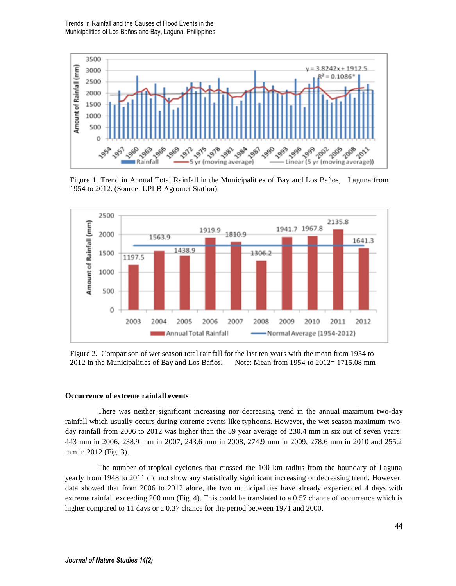

Figure 1. Trend in Annual Total Rainfall in the Municipalities of Bay and Los Baños, Laguna from 1954 to 2012. (Source: UPLB Agromet Station).



Figure 2. Comparison of wet season total rainfall for the last ten years with the mean from 1954 to 2012 in the Municipalities of Bay and Los Baños. Note: Mean from 1954 to 2012= 1715.08 mm

### **Occurrence of extreme rainfall events**

There was neither significant increasing nor decreasing trend in the annual maximum two-day rainfall which usually occurs during extreme events like typhoons. However, the wet season maximum twoday rainfall from 2006 to 2012 was higher than the 59 year average of 230.4 mm in six out of seven years: 443 mm in 2006, 238.9 mm in 2007, 243.6 mm in 2008, 274.9 mm in 2009, 278.6 mm in 2010 and 255.2 mm in 2012 (Fig. 3).

The number of tropical cyclones that crossed the 100 km radius from the boundary of Laguna yearly from 1948 to 2011 did not show any statistically significant increasing or decreasing trend. However, data showed that from 2006 to 2012 alone, the two municipalities have already experienced 4 days with extreme rainfall exceeding 200 mm (Fig. 4). This could be translated to a 0.57 chance of occurrence which is higher compared to 11 days or a 0.37 chance for the period between 1971 and 2000.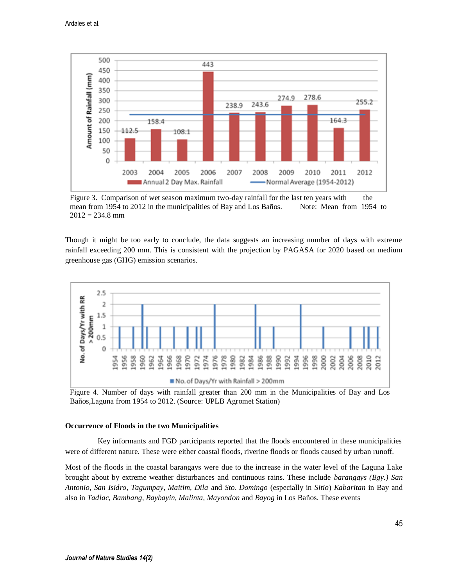

Figure 3. Comparison of wet season maximum two-day rainfall for the last ten years with the mean from 1954 to 2012 in the municipalities of Bay and Los Baños. Note: Mean from 1954 to  $2012 = 234.8$  mm

Though it might be too early to conclude, the data suggests an increasing number of days with extreme rainfall exceeding 200 mm. This is consistent with the projection by PAGASA for 2020 based on medium greenhouse gas (GHG) emission scenarios.



Figure 4. Number of days with rainfall greater than 200 mm in the Municipalities of Bay and Los Baños,Laguna from 1954 to 2012. (Source: UPLB Agromet Station)

#### **Occurrence of Floods in the two Municipalities**

Key informants and FGD participants reported that the floods encountered in these municipalities were of different nature. These were either coastal floods, riverine floods or floods caused by urban runoff.

Most of the floods in the coastal barangays were due to the increase in the water level of the Laguna Lake brought about by extreme weather disturbances and continuous rains. These include *barangays (Bgy.) San Antonio, San Isidro, Tagumpay, Maitim, Dila* and *Sto. Domingo* (especially in *Sitio*) *Kabaritan* in Bay and also in *Tadlac, Bambang, Baybayin, Malinta, Mayondon* and *Bayog* in Los Baños. These events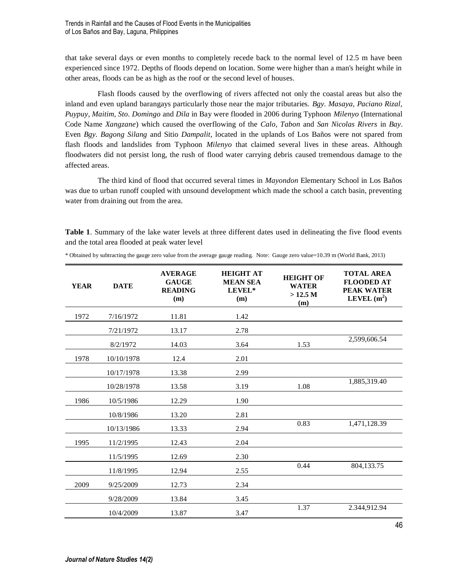that take several days or even months to completely recede back to the normal level of 12.5 m have been experienced since 1972. Depths of floods depend on location. Some were higher than a man's height while in other areas, floods can be as high as the roof or the second level of houses.

Flash floods caused by the overflowing of rivers affected not only the coastal areas but also the inland and even upland barangays particularly those near the major tributaries. *Bgy. Masaya, Paciano Rizal, Puypuy, Maitim, Sto. Domingo* and *Dila* in Bay were flooded in 2006 during Typhoon *Milenyo* (International Code Name *Xangzane*) which caused the overflowing of the *Calo, Tabon* and *San Nicolas Rivers* in *Bay*. Even *Bgy. Bagong Silang* and Sitio *Dampalit*, located in the uplands of Los Baños were not spared from flash floods and landslides from Typhoon *Milenyo* that claimed several lives in these areas. Although floodwaters did not persist long, the rush of flood water carrying debris caused tremendous damage to the affected areas.

The third kind of flood that occurred several times in *Mayondon* Elementary School in Los Baños was due to urban runoff coupled with unsound development which made the school a catch basin, preventing water from draining out from the area.

**Table 1**. Summary of the lake water levels at three different dates used in delineating the five flood events and the total area flooded at peak water level

| <b>YEAR</b> | <b>DATE</b> | <b>AVERAGE</b><br><b>GAUGE</b><br><b>READING</b><br>(m) | <b>HEIGHT AT</b><br><b>MEAN SEA</b><br>LEVEL*<br>(m) | <b>HEIGHT OF</b><br><b>WATER</b><br>>12.5 M<br>(m) | <b>TOTAL AREA</b><br><b>FLOODED AT</b><br><b>PEAK WATER</b><br>LEVEL $(m^2)$ |
|-------------|-------------|---------------------------------------------------------|------------------------------------------------------|----------------------------------------------------|------------------------------------------------------------------------------|
| 1972        | 7/16/1972   | 11.81                                                   | 1.42                                                 |                                                    |                                                                              |
|             | 7/21/1972   | 13.17                                                   | 2.78                                                 |                                                    |                                                                              |
|             | 8/2/1972    | 14.03                                                   | 3.64                                                 | 1.53                                               | 2,599,606.54                                                                 |
| 1978        | 10/10/1978  | 12.4                                                    | 2.01                                                 |                                                    |                                                                              |
|             | 10/17/1978  | 13.38                                                   | 2.99                                                 |                                                    |                                                                              |
|             | 10/28/1978  | 13.58                                                   | 3.19                                                 | 1.08                                               | 1,885,319.40                                                                 |
| 1986        | 10/5/1986   | 12.29                                                   | 1.90                                                 |                                                    |                                                                              |
|             | 10/8/1986   | 13.20                                                   | 2.81                                                 |                                                    |                                                                              |
|             | 10/13/1986  | 13.33                                                   | 2.94                                                 | 0.83                                               | 1,471,128.39                                                                 |
| 1995        | 11/2/1995   | 12.43                                                   | 2.04                                                 |                                                    |                                                                              |
|             | 11/5/1995   | 12.69                                                   | 2.30                                                 |                                                    |                                                                              |
|             | 11/8/1995   | 12.94                                                   | 2.55                                                 | 0.44                                               | 804,133.75                                                                   |
| 2009        | 9/25/2009   | 12.73                                                   | 2.34                                                 |                                                    |                                                                              |
|             | 9/28/2009   | 13.84                                                   | 3.45                                                 |                                                    |                                                                              |
|             | 10/4/2009   | 13.87                                                   | 3.47                                                 | 1.37                                               | 2.344,912.94                                                                 |

\* Obtained by subtracting the gauge zero value from the average gauge reading. Note: Gauge zero value=10.39 m (World Bank, 2013)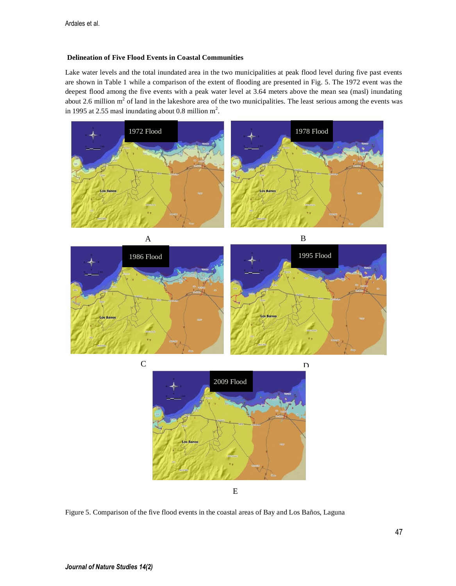### **Delineation of Five Flood Events in Coastal Communities**

Lake water levels and the total inundated area in the two municipalities at peak flood level during five past events are shown in Table 1 while a comparison of the extent of flooding are presented in Fig. 5. The 1972 event was the deepest flood among the five events with a peak water level at 3.64 meters above the mean sea (masl) inundating about 2.6 million  $m<sup>2</sup>$  of land in the lakeshore area of the two municipalities. The least serious among the events was in 1995 at 2.55 masl inundating about 0.8 million  $m^2$ .







E

Figure 5. Comparison of the five flood events in the coastal areas of Bay and Los Baños, Laguna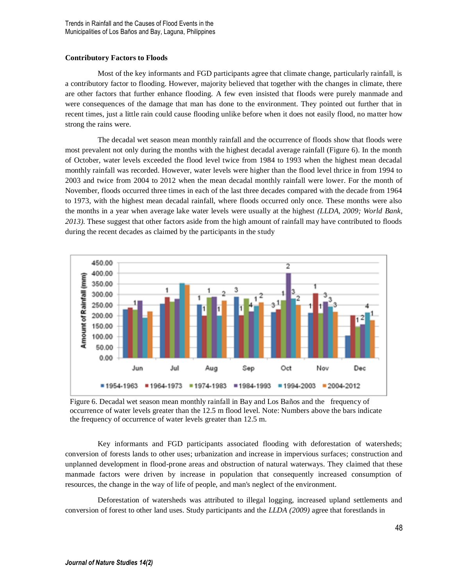Trends in Rainfall and the Causes of Flood Events in the Municipalities of Los Baños and Bay, Laguna, Philippines

### **Contributory Factors to Floods**

Most of the key informants and FGD participants agree that climate change, particularly rainfall, is a contributory factor to flooding. However, majority believed that together with the changes in climate, there are other factors that further enhance flooding. A few even insisted that floods were purely manmade and were consequences of the damage that man has done to the environment. They pointed out further that in recent times, just a little rain could cause flooding unlike before when it does not easily flood, no matter how strong the rains were.

The decadal wet season mean monthly rainfall and the occurrence of floods show that floods were most prevalent not only during the months with the highest decadal average rainfall (Figure 6). In the month of October, water levels exceeded the flood level twice from 1984 to 1993 when the highest mean decadal monthly rainfall was recorded. However, water levels were higher than the flood level thrice in from 1994 to 2003 and twice from 2004 to 2012 when the mean decadal monthly rainfall were lower. For the month of November, floods occurred three times in each of the last three decades compared with the decade from 1964 to 1973, with the highest mean decadal rainfall, where floods occurred only once. These months were also the months in a year when average lake water levels were usually at the highest *(LLDA, 2009; World Bank, 2013)*. These suggest that other factors aside from the high amount of rainfall may have contributed to floods during the recent decades as claimed by the participants in the study



Figure 6. Decadal wet season mean monthly rainfall in Bay and Los Baños and the frequency of occurrence of water levels greater than the 12.5 m flood level. Note: Numbers above the bars indicate the frequency of occurrence of water levels greater than 12.5 m.

Key informants and FGD participants associated flooding with deforestation of watersheds; conversion of forests lands to other uses; urbanization and increase in impervious surfaces; construction and unplanned development in flood-prone areas and obstruction of natural waterways. They claimed that these manmade factors were driven by increase in population that consequently increased consumption of resources, the change in the way of life of people, and man's neglect of the environment.

Deforestation of watersheds was attributed to illegal logging, increased upland settlements and conversion of forest to other land uses. Study participants and the *LLDA (2009)* agree that forestlands in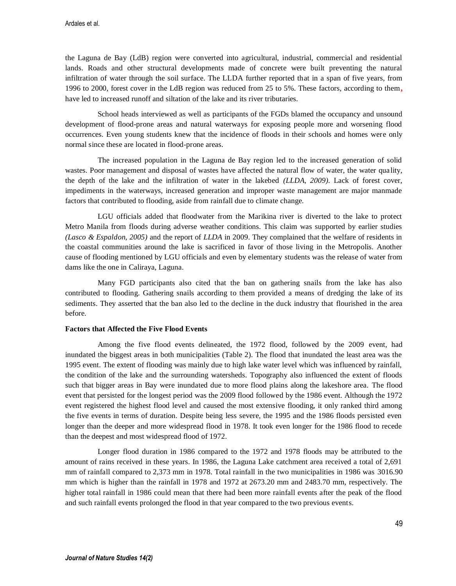the Laguna de Bay (LdB) region were converted into agricultural, industrial, commercial and residential lands. Roads and other structural developments made of concrete were built preventing the natural infiltration of water through the soil surface. The LLDA further reported that in a span of five years, from 1996 to 2000, forest cover in the LdB region was reduced from 25 to 5%. These factors, according to them**,** have led to increased runoff and siltation of the lake and its river tributaries.

School heads interviewed as well as participants of the FGDs blamed the occupancy and unsound development of flood-prone areas and natural waterways for exposing people more and worsening flood occurrences. Even young students knew that the incidence of floods in their schools and homes were only normal since these are located in flood-prone areas.

The increased population in the Laguna de Bay region led to the increased generation of solid wastes. Poor management and disposal of wastes have affected the natural flow of water, the water quality, the depth of the lake and the infiltration of water in the lakebed *(LLDA, 2009)*. Lack of forest cover, impediments in the waterways, increased generation and improper waste management are major manmade factors that contributed to flooding, aside from rainfall due to climate change.

LGU officials added that floodwater from the Marikina river is diverted to the lake to protect Metro Manila from floods during adverse weather conditions. This claim was supported by earlier studies *(Lasco & Espaldon, 2005)* and the report of *LLDA* in 2009. They complained that the welfare of residents in the coastal communities around the lake is sacrificed in favor of those living in the Metropolis. Another cause of flooding mentioned by LGU officials and even by elementary students was the release of water from dams like the one in Caliraya, Laguna.

Many FGD participants also cited that the ban on gathering snails from the lake has also contributed to flooding. Gathering snails according to them provided a means of dredging the lake of its sediments. They asserted that the ban also led to the decline in the duck industry that flourished in the area before.

## **Factors that Affected the Five Flood Events**

Among the five flood events delineated, the 1972 flood, followed by the 2009 event, had inundated the biggest areas in both municipalities (Table 2). The flood that inundated the least area was the 1995 event. The extent of flooding was mainly due to high lake water level which was influenced by rainfall, the condition of the lake and the surrounding watersheds. Topography also influenced the extent of floods such that bigger areas in Bay were inundated due to more flood plains along the lakeshore area. The flood event that persisted for the longest period was the 2009 flood followed by the 1986 event. Although the 1972 event registered the highest flood level and caused the most extensive flooding, it only ranked third among the five events in terms of duration. Despite being less severe, the 1995 and the 1986 floods persisted even longer than the deeper and more widespread flood in 1978. It took even longer for the 1986 flood to recede than the deepest and most widespread flood of 1972.

Longer flood duration in 1986 compared to the 1972 and 1978 floods may be attributed to the amount of rains received in these years. In 1986, the Laguna Lake catchment area received a total of 2,691 mm of rainfall compared to 2,373 mm in 1978. Total rainfall in the two municipalities in 1986 was 3016.90 mm which is higher than the rainfall in 1978 and 1972 at 2673.20 mm and 2483.70 mm, respectively. The higher total rainfall in 1986 could mean that there had been more rainfall events after the peak of the flood and such rainfall events prolonged the flood in that year compared to the two previous events.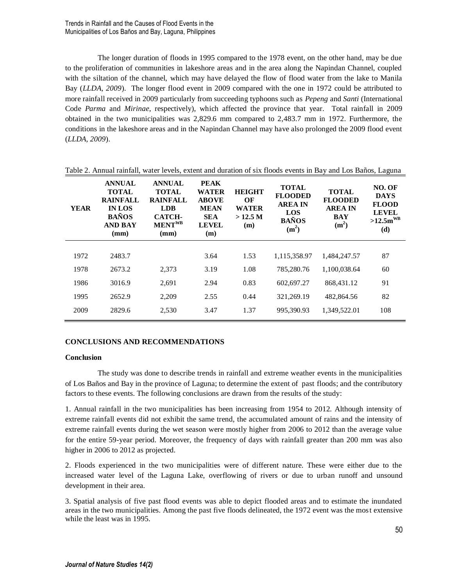The longer duration of floods in 1995 compared to the 1978 event, on the other hand, may be due to the proliferation of communities in lakeshore areas and in the area along the Napindan Channel, coupled with the siltation of the channel, which may have delayed the flow of flood water from the lake to Manila Bay (*LLDA, 2009*). The longer flood event in 2009 compared with the one in 1972 could be attributed to more rainfall received in 2009 particularly from succeeding typhoons such as *Pepeng* and *Santi* (International Code *Parma* and *Mirinae*, respectively), which affected the province that year. Total rainfall in 2009 obtained in the two municipalities was 2,829.6 mm compared to 2,483.7 mm in 1972. Furthermore, the conditions in the lakeshore areas and in the Napindan Channel may have also prolonged the 2009 flood event (*LLDA, 2009*).

| <b>YEAR</b> | <b>ANNUAL</b><br><b>TOTAL</b><br><b>RAINFALL</b><br><b>IN LOS</b><br><b>BAÑOS</b><br><b>AND BAY</b><br>(mm) | <b>ANNUAL</b><br><b>TOTAL</b><br><b>RAINFALL</b><br>LDB.<br><b>CATCH-</b><br>MENT <sup>WB</sup><br>(mm) | <b>PEAK</b><br><b>WATER</b><br><b>ABOVE</b><br><b>MEAN</b><br><b>SEA</b><br><b>LEVEL</b><br>(m) | <b>HEIGHT</b><br>OF<br>WATER<br>$>12.5$ M<br>(m) | <b>TOTAL</b><br><b>FLOODED</b><br><b>AREA IN</b><br>LOS<br><b>BAÑOS</b><br>(m <sup>2</sup> ) | <b>TOTAL</b><br><b>FLOODED</b><br><b>AREA IN</b><br><b>BAY</b><br>(m <sup>2</sup> ) | NO. OF<br><b>DAYS</b><br><b>FLOOD</b><br><b>LEVEL</b><br>$>12.5$ m <sup>WB</sup><br>(d) |
|-------------|-------------------------------------------------------------------------------------------------------------|---------------------------------------------------------------------------------------------------------|-------------------------------------------------------------------------------------------------|--------------------------------------------------|----------------------------------------------------------------------------------------------|-------------------------------------------------------------------------------------|-----------------------------------------------------------------------------------------|
| 1972        | 2483.7                                                                                                      |                                                                                                         | 3.64                                                                                            | 1.53                                             | 1.115.358.97                                                                                 | 1.484.247.57                                                                        | 87                                                                                      |
|             |                                                                                                             |                                                                                                         |                                                                                                 |                                                  |                                                                                              |                                                                                     |                                                                                         |
| 1978        | 2673.2                                                                                                      | 2.373                                                                                                   | 3.19                                                                                            | 1.08                                             | 785,280.76                                                                                   | 1,100,038.64                                                                        | 60                                                                                      |
| 1986        | 3016.9                                                                                                      | 2.691                                                                                                   | 2.94                                                                                            | 0.83                                             | 602,697.27                                                                                   | 868,431.12                                                                          | 91                                                                                      |
| 1995        | 2652.9                                                                                                      | 2.209                                                                                                   | 2.55                                                                                            | 0.44                                             | 321.269.19                                                                                   | 482,864.56                                                                          | 82                                                                                      |
| 2009        | 2829.6                                                                                                      | 2.530                                                                                                   | 3.47                                                                                            | 1.37                                             | 995.390.93                                                                                   | 1.349.522.01                                                                        | 108                                                                                     |

Table 2. Annual rainfall, water levels, extent and duration of six floods events in Bay and Los Baños, Laguna

# **CONCLUSIONS AND RECOMMENDATIONS**

### **Conclusion**

The study was done to describe trends in rainfall and extreme weather events in the municipalities of Los Baños and Bay in the province of Laguna; to determine the extent of past floods; and the contributory factors to these events. The following conclusions are drawn from the results of the study:

1. Annual rainfall in the two municipalities has been increasing from 1954 to 2012. Although intensity of extreme rainfall events did not exhibit the same trend, the accumulated amount of rains and the intensity of extreme rainfall events during the wet season were mostly higher from 2006 to 2012 than the average value for the entire 59-year period. Moreover, the frequency of days with rainfall greater than 200 mm was also higher in 2006 to 2012 as projected.

2. Floods experienced in the two municipalities were of different nature. These were either due to the increased water level of the Laguna Lake, overflowing of rivers or due to urban runoff and unsound development in their area.

3. Spatial analysis of five past flood events was able to depict flooded areas and to estimate the inundated areas in the two municipalities. Among the past five floods delineated, the 1972 event was the most extensive while the least was in 1995.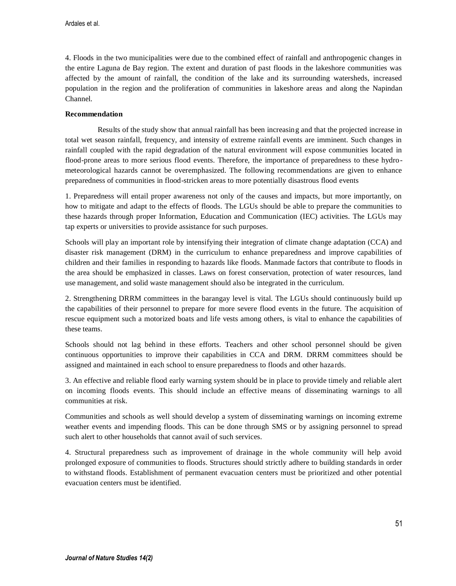4. Floods in the two municipalities were due to the combined effect of rainfall and anthropogenic changes in the entire Laguna de Bay region. The extent and duration of past floods in the lakeshore communities was affected by the amount of rainfall, the condition of the lake and its surrounding watersheds, increased population in the region and the proliferation of communities in lakeshore areas and along the Napindan Channel.

# **Recommendation**

Results of the study show that annual rainfall has been increasing and that the projected increase in total wet season rainfall, frequency, and intensity of extreme rainfall events are imminent. Such changes in rainfall coupled with the rapid degradation of the natural environment will expose communities located in flood-prone areas to more serious flood events. Therefore, the importance of preparedness to these hydrometeorological hazards cannot be overemphasized. The following recommendations are given to enhance preparedness of communities in flood-stricken areas to more potentially disastrous flood events

1. Preparedness will entail proper awareness not only of the causes and impacts, but more importantly, on how to mitigate and adapt to the effects of floods. The LGUs should be able to prepare the communities to these hazards through proper Information, Education and Communication (IEC) activities. The LGUs may tap experts or universities to provide assistance for such purposes.

Schools will play an important role by intensifying their integration of climate change adaptation (CCA) and disaster risk management (DRM) in the curriculum to enhance preparedness and improve capabilities of children and their families in responding to hazards like floods. Manmade factors that contribute to floods in the area should be emphasized in classes. Laws on forest conservation, protection of water resources, land use management, and solid waste management should also be integrated in the curriculum.

2. Strengthening DRRM committees in the barangay level is vital. The LGUs should continuously build up the capabilities of their personnel to prepare for more severe flood events in the future. The acquisition of rescue equipment such a motorized boats and life vests among others, is vital to enhance the capabilities of these teams.

Schools should not lag behind in these efforts. Teachers and other school personnel should be given continuous opportunities to improve their capabilities in CCA and DRM. DRRM committees should be assigned and maintained in each school to ensure preparedness to floods and other hazards.

3. An effective and reliable flood early warning system should be in place to provide timely and reliable alert on incoming floods events. This should include an effective means of disseminating warnings to all communities at risk.

Communities and schools as well should develop a system of disseminating warnings on incoming extreme weather events and impending floods. This can be done through SMS or by assigning personnel to spread such alert to other households that cannot avail of such services.

4. Structural preparedness such as improvement of drainage in the whole community will help avoid prolonged exposure of communities to floods. Structures should strictly adhere to building standards in order to withstand floods. Establishment of permanent evacuation centers must be prioritized and other potential evacuation centers must be identified.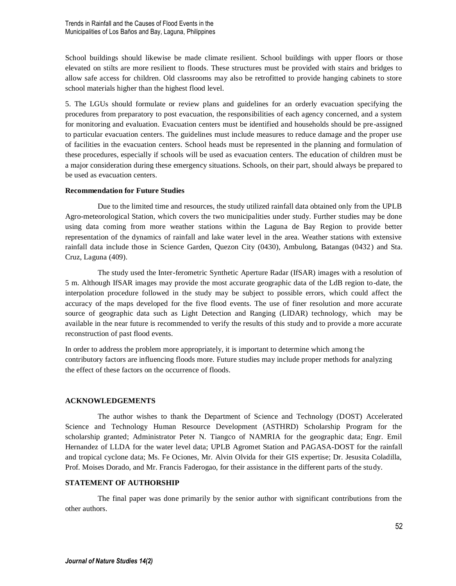School buildings should likewise be made climate resilient. School buildings with upper floors or those elevated on stilts are more resilient to floods. These structures must be provided with stairs and bridges to allow safe access for children. Old classrooms may also be retrofitted to provide hanging cabinets to store school materials higher than the highest flood level.

5. The LGUs should formulate or review plans and guidelines for an orderly evacuation specifying the procedures from preparatory to post evacuation, the responsibilities of each agency concerned, and a system for monitoring and evaluation. Evacuation centers must be identified and households should be pre-assigned to particular evacuation centers. The guidelines must include measures to reduce damage and the proper use of facilities in the evacuation centers. School heads must be represented in the planning and formulation of these procedures, especially if schools will be used as evacuation centers. The education of children must be a major consideration during these emergency situations. Schools, on their part, should always be prepared to be used as evacuation centers.

### **Recommendation for Future Studies**

Due to the limited time and resources, the study utilized rainfall data obtained only from the UPLB Agro-meteorological Station, which covers the two municipalities under study. Further studies may be done using data coming from more weather stations within the Laguna de Bay Region to provide better representation of the dynamics of rainfall and lake water level in the area. Weather stations with extensive rainfall data include those in Science Garden, Quezon City (0430), Ambulong, Batangas (0432) and Sta. Cruz, Laguna (409).

The study used the Inter-ferometric Synthetic Aperture Radar (IfSAR) images with a resolution of 5 m. Although IfSAR images may provide the most accurate geographic data of the LdB region to-date, the interpolation procedure followed in the study may be subject to possible errors, which could affect the accuracy of the maps developed for the five flood events. The use of finer resolution and more accurate source of geographic data such as Light Detection and Ranging (LIDAR) technology, which may be available in the near future is recommended to verify the results of this study and to provide a more accurate reconstruction of past flood events.

In order to address the problem more appropriately, it is important to determine which among the contributory factors are influencing floods more. Future studies may include proper methods for analyzing the effect of these factors on the occurrence of floods.

### **ACKNOWLEDGEMENTS**

The author wishes to thank the Department of Science and Technology (DOST) Accelerated Science and Technology Human Resource Development (ASTHRD) Scholarship Program for the scholarship granted; Administrator Peter N. Tiangco of NAMRIA for the geographic data; Engr. Emil Hernandez of LLDA for the water level data; UPLB Agromet Station and PAGASA-DOST for the rainfall and tropical cyclone data; Ms. Fe Ociones, Mr. Alvin Olvida for their GIS expertise; Dr. Jesusita Coladilla, Prof. Moises Dorado, and Mr. Francis Faderogao, for their assistance in the different parts of the study.

### **STATEMENT OF AUTHORSHIP**

The final paper was done primarily by the senior author with significant contributions from the other authors.